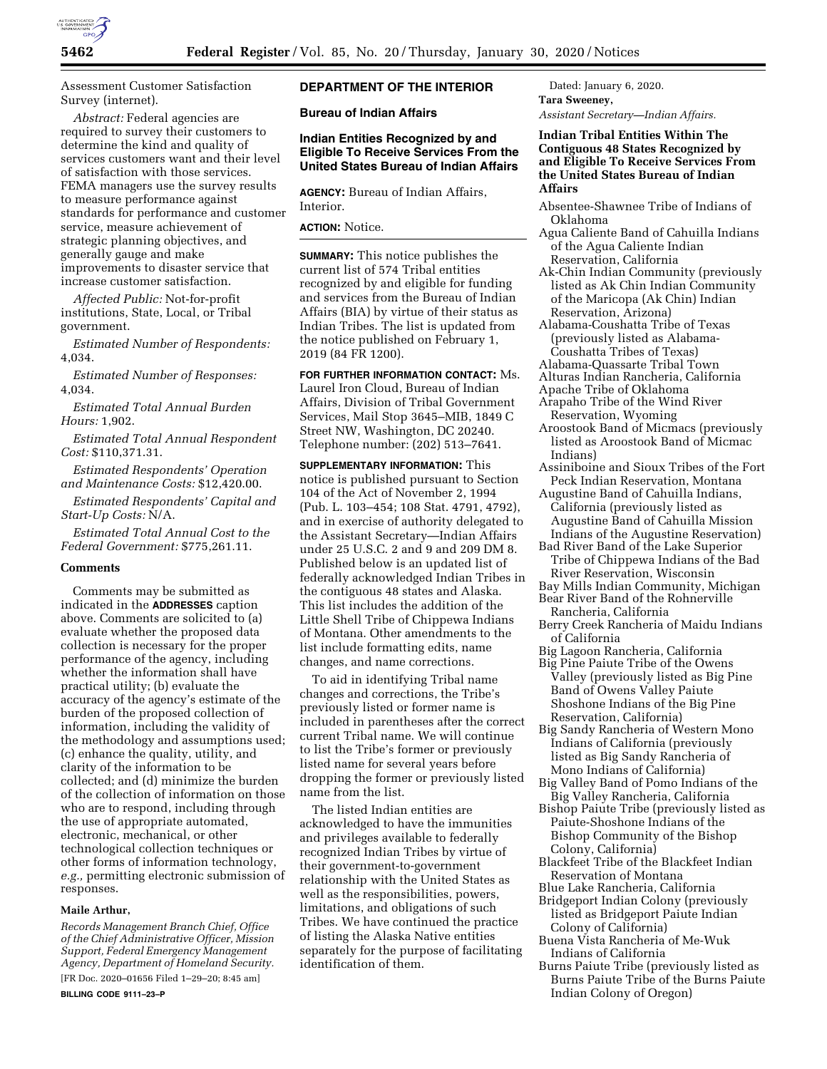

Assessment Customer Satisfaction Survey (internet).

*Abstract:* Federal agencies are required to survey their customers to determine the kind and quality of services customers want and their level of satisfaction with those services. FEMA managers use the survey results to measure performance against standards for performance and customer service, measure achievement of strategic planning objectives, and generally gauge and make improvements to disaster service that increase customer satisfaction.

*Affected Public:* Not-for-profit institutions, State, Local, or Tribal government.

*Estimated Number of Respondents:*  4,034.

*Estimated Number of Responses:*  4,034.

*Estimated Total Annual Burden Hours:* 1,902.

*Estimated Total Annual Respondent Cost:* \$110,371.31.

*Estimated Respondents' Operation and Maintenance Costs:* \$12,420.00.

*Estimated Respondents' Capital and Start-Up Costs:* N/A.

*Estimated Total Annual Cost to the Federal Government:* \$775,261.11.

## **Comments**

Comments may be submitted as indicated in the **ADDRESSES** caption above. Comments are solicited to (a) evaluate whether the proposed data collection is necessary for the proper performance of the agency, including whether the information shall have practical utility; (b) evaluate the accuracy of the agency's estimate of the burden of the proposed collection of information, including the validity of the methodology and assumptions used; (c) enhance the quality, utility, and clarity of the information to be collected; and (d) minimize the burden of the collection of information on those who are to respond, including through the use of appropriate automated, electronic, mechanical, or other technological collection techniques or other forms of information technology, *e.g.,* permitting electronic submission of responses.

### **Maile Arthur,**

*Records Management Branch Chief, Office of the Chief Administrative Officer, Mission Support, Federal Emergency Management Agency, Department of Homeland Security.*  [FR Doc. 2020–01656 Filed 1–29–20; 8:45 am]

# **DEPARTMENT OF THE INTERIOR**

**Bureau of Indian Affairs** 

# **Indian Entities Recognized by and Eligible To Receive Services From the United States Bureau of Indian Affairs**

**AGENCY:** Bureau of Indian Affairs, Interior.

#### **ACTION:** Notice.

**SUMMARY:** This notice publishes the current list of 574 Tribal entities recognized by and eligible for funding and services from the Bureau of Indian Affairs (BIA) by virtue of their status as Indian Tribes. The list is updated from the notice published on February 1, 2019 (84 FR 1200).

**FOR FURTHER INFORMATION CONTACT:** Ms. Laurel Iron Cloud, Bureau of Indian Affairs, Division of Tribal Government Services, Mail Stop 3645–MIB, 1849 C Street NW, Washington, DC 20240. Telephone number: (202) 513–7641.

**SUPPLEMENTARY INFORMATION:** This notice is published pursuant to Section 104 of the Act of November 2, 1994 (Pub. L. 103–454; 108 Stat. 4791, 4792), and in exercise of authority delegated to the Assistant Secretary—Indian Affairs under 25 U.S.C. 2 and 9 and 209 DM 8. Published below is an updated list of federally acknowledged Indian Tribes in the contiguous 48 states and Alaska. This list includes the addition of the Little Shell Tribe of Chippewa Indians of Montana. Other amendments to the list include formatting edits, name changes, and name corrections.

To aid in identifying Tribal name changes and corrections, the Tribe's previously listed or former name is included in parentheses after the correct current Tribal name. We will continue to list the Tribe's former or previously listed name for several years before dropping the former or previously listed name from the list.

The listed Indian entities are acknowledged to have the immunities and privileges available to federally recognized Indian Tribes by virtue of their government-to-government relationship with the United States as well as the responsibilities, powers, limitations, and obligations of such Tribes. We have continued the practice of listing the Alaska Native entities separately for the purpose of facilitating identification of them.

Dated: January 6, 2020. **Tara Sweeney,**  *Assistant Secretary—Indian Affairs.* 

**Indian Tribal Entities Within The Contiguous 48 States Recognized by and Eligible To Receive Services From the United States Bureau of Indian Affairs** 

- Absentee-Shawnee Tribe of Indians of Oklahoma
- Agua Caliente Band of Cahuilla Indians of the Agua Caliente Indian Reservation, California
- Ak-Chin Indian Community (previously listed as Ak Chin Indian Community of the Maricopa (Ak Chin) Indian Reservation, Arizona)
- Alabama-Coushatta Tribe of Texas (previously listed as Alabama-
- Coushatta Tribes of Texas) Alabama-Quassarte Tribal Town
- Alturas Indian Rancheria, California
- Apache Tribe of Oklahoma
- Arapaho Tribe of the Wind River Reservation, Wyoming
- Aroostook Band of Micmacs (previously listed as Aroostook Band of Micmac Indians)
- Assiniboine and Sioux Tribes of the Fort Peck Indian Reservation, Montana
- Augustine Band of Cahuilla Indians, California (previously listed as Augustine Band of Cahuilla Mission Indians of the Augustine Reservation)
- Bad River Band of the Lake Superior Tribe of Chippewa Indians of the Bad River Reservation, Wisconsin
- Bay Mills Indian Community, Michigan Bear River Band of the Rohnerville
- Rancheria, California Berry Creek Rancheria of Maidu Indians
- of California
- Big Lagoon Rancheria, California Big Pine Paiute Tribe of the Owens Valley (previously listed as Big Pine Band of Owens Valley Paiute Shoshone Indians of the Big Pine Reservation, California)
- Big Sandy Rancheria of Western Mono Indians of California (previously listed as Big Sandy Rancheria of Mono Indians of California)
- Big Valley Band of Pomo Indians of the Big Valley Rancheria, California
- Bishop Paiute Tribe (previously listed as Paiute-Shoshone Indians of the Bishop Community of the Bishop Colony, California)
- Blackfeet Tribe of the Blackfeet Indian Reservation of Montana
- Blue Lake Rancheria, California
- Bridgeport Indian Colony (previously listed as Bridgeport Paiute Indian Colony of California)
- Buena Vista Rancheria of Me-Wuk Indians of California
- Burns Paiute Tribe (previously listed as Burns Paiute Tribe of the Burns Paiute Indian Colony of Oregon)

**BILLING CODE 9111–23–P**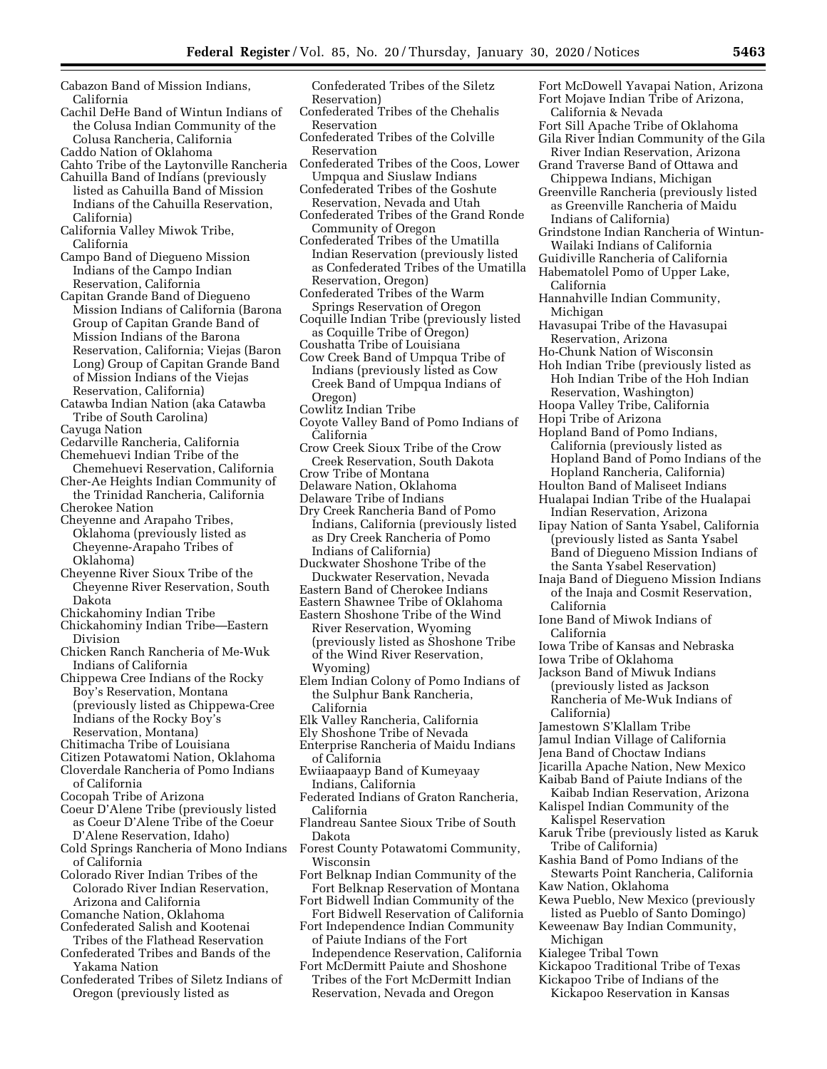Cabazon Band of Mission Indians, California

- Cachil DeHe Band of Wintun Indians of the Colusa Indian Community of the Colusa Rancheria, California
- Caddo Nation of Oklahoma
- Cahto Tribe of the Laytonville Rancheria
- Cahuilla Band of Indians (previously listed as Cahuilla Band of Mission Indians of the Cahuilla Reservation, California)
- California Valley Miwok Tribe, California
- Campo Band of Diegueno Mission Indians of the Campo Indian Reservation, California
- Capitan Grande Band of Diegueno Mission Indians of California (Barona Group of Capitan Grande Band of Mission Indians of the Barona Reservation, California; Viejas (Baron Long) Group of Capitan Grande Band of Mission Indians of the Viejas Reservation, California)
- Catawba Indian Nation (aka Catawba Tribe of South Carolina)
- Cayuga Nation
- Cedarville Rancheria, California Chemehuevi Indian Tribe of the
- Chemehuevi Reservation, California Cher-Ae Heights Indian Community of
- the Trinidad Rancheria, California Cherokee Nation
- Cheyenne and Arapaho Tribes, Oklahoma (previously listed as Cheyenne-Arapaho Tribes of Oklahoma)
- Cheyenne River Sioux Tribe of the Cheyenne River Reservation, South Dakota
- Chickahominy Indian Tribe
- Chickahominy Indian Tribe—Eastern Division
- Chicken Ranch Rancheria of Me-Wuk Indians of California
- Chippewa Cree Indians of the Rocky Boy's Reservation, Montana (previously listed as Chippewa-Cree Indians of the Rocky Boy's Reservation, Montana)
- Chitimacha Tribe of Louisiana
- Citizen Potawatomi Nation, Oklahoma
- Cloverdale Rancheria of Pomo Indians of California
- Cocopah Tribe of Arizona
- Coeur D'Alene Tribe (previously listed as Coeur D'Alene Tribe of the Coeur D'Alene Reservation, Idaho)
- Cold Springs Rancheria of Mono Indians of California
- Colorado River Indian Tribes of the Colorado River Indian Reservation, Arizona and California
- Comanche Nation, Oklahoma
- Confederated Salish and Kootenai Tribes of the Flathead Reservation
- Confederated Tribes and Bands of the Yakama Nation
- Confederated Tribes of Siletz Indians of Oregon (previously listed as

Confederated Tribes of the Siletz Reservation)

- Confederated Tribes of the Chehalis Reservation
- Confederated Tribes of the Colville Reservation
- Confederated Tribes of the Coos, Lower Umpqua and Siuslaw Indians
- Confederated Tribes of the Goshute Reservation, Nevada and Utah
- Confederated Tribes of the Grand Ronde Community of Oregon
- Confederated Tribes of the Umatilla Indian Reservation (previously listed as Confederated Tribes of the Umatilla Reservation, Oregon)
- Confederated Tribes of the Warm Springs Reservation of Oregon
- Coquille Indian Tribe (previously listed as Coquille Tribe of Oregon)
- Coushatta Tribe of Louisiana
- Cow Creek Band of Umpqua Tribe of Indians (previously listed as Cow Creek Band of Umpqua Indians of Oregon)
- Cowlitz Indian Tribe
- Coyote Valley Band of Pomo Indians of California
- Crow Creek Sioux Tribe of the Crow Creek Reservation, South Dakota
- Crow Tribe of Montana
- Delaware Nation, Oklahoma Delaware Tribe of Indians
- Dry Creek Rancheria Band of Pomo Indians, California (previously listed as Dry Creek Rancheria of Pomo
- Indians of California) Duckwater Shoshone Tribe of the
- Duckwater Reservation, Nevada
- Eastern Band of Cherokee Indians Eastern Shawnee Tribe of Oklahoma
- Eastern Shoshone Tribe of the Wind
- River Reservation, Wyoming (previously listed as Shoshone Tribe of the Wind River Reservation, Wyoming)
- Elem Indian Colony of Pomo Indians of the Sulphur Bank Rancheria, California
- Elk Valley Rancheria, California
- Ely Shoshone Tribe of Nevada
- Enterprise Rancheria of Maidu Indians of California
- Ewiiaapaayp Band of Kumeyaay Indians, California
- Federated Indians of Graton Rancheria, California
- Flandreau Santee Sioux Tribe of South Dakota
- Forest County Potawatomi Community, Wisconsin
- Fort Belknap Indian Community of the Fort Belknap Reservation of Montana Fort Bidwell Indian Community of the
- Fort Bidwell Reservation of California Fort Independence Indian Community
- of Paiute Indians of the Fort Independence Reservation, California
- Fort McDermitt Paiute and Shoshone Tribes of the Fort McDermitt Indian Reservation, Nevada and Oregon
- Fort McDowell Yavapai Nation, Arizona Fort Mojave Indian Tribe of Arizona, California & Nevada
- Fort Sill Apache Tribe of Oklahoma
- Gila River Indian Community of the Gila River Indian Reservation, Arizona
- Grand Traverse Band of Ottawa and Chippewa Indians, Michigan
- Greenville Rancheria (previously listed as Greenville Rancheria of Maidu Indians of California)
- Grindstone Indian Rancheria of Wintun-Wailaki Indians of California
- Guidiville Rancheria of California
- Habematolel Pomo of Upper Lake, California

Hannahville Indian Community, Michigan

- Havasupai Tribe of the Havasupai Reservation, Arizona
- Ho-Chunk Nation of Wisconsin
- Hoh Indian Tribe (previously listed as Hoh Indian Tribe of the Hoh Indian Reservation, Washington)
- Hoopa Valley Tribe, California
- Hopi Tribe of Arizona
- Hopland Band of Pomo Indians, California (previously listed as Hopland Band of Pomo Indians of the Hopland Rancheria, California) Houlton Band of Maliseet Indians
- Hualapai Indian Tribe of the Hualapai
- Indian Reservation, Arizona Iipay Nation of Santa Ysabel, California (previously listed as Santa Ysabel Band of Diegueno Mission Indians of
- the Santa Ysabel Reservation) Inaja Band of Diegueno Mission Indians
- of the Inaja and Cosmit Reservation, California
- Ione Band of Miwok Indians of California
- Iowa Tribe of Kansas and Nebraska
- Iowa Tribe of Oklahoma
- Jackson Band of Miwuk Indians (previously listed as Jackson Rancheria of Me-Wuk Indians of California)
- Jamestown S'Klallam Tribe
- Jamul Indian Village of California
- Jena Band of Choctaw Indians
- Jicarilla Apache Nation, New Mexico
- Kaibab Band of Paiute Indians of the
- Kaibab Indian Reservation, Arizona Kalispel Indian Community of the
- Kalispel Reservation
- Karuk Tribe (previously listed as Karuk Tribe of California)
- Kashia Band of Pomo Indians of the Stewarts Point Rancheria, California Kaw Nation, Oklahoma
- Kewa Pueblo, New Mexico (previously listed as Pueblo of Santo Domingo)
- Keweenaw Bay Indian Community, Michigan

Kickapoo Traditional Tribe of Texas Kickapoo Tribe of Indians of the Kickapoo Reservation in Kansas

Kialegee Tribal Town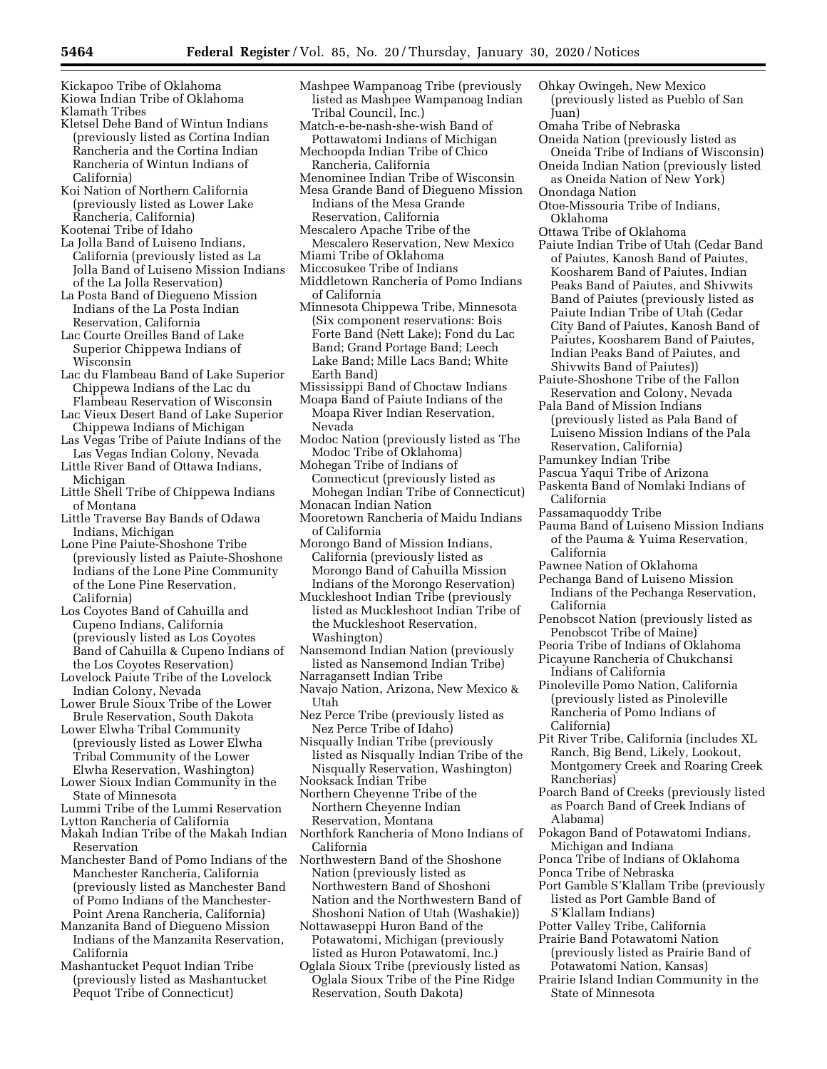Kickapoo Tribe of Oklahoma

Kiowa Indian Tribe of Oklahoma Klamath Tribes

- Kletsel Dehe Band of Wintun Indians (previously listed as Cortina Indian Rancheria and the Cortina Indian Rancheria of Wintun Indians of California)
- Koi Nation of Northern California (previously listed as Lower Lake Rancheria, California)
- Kootenai Tribe of Idaho
- La Jolla Band of Luiseno Indians, California (previously listed as La Jolla Band of Luiseno Mission Indians of the La Jolla Reservation)
- La Posta Band of Diegueno Mission Indians of the La Posta Indian Reservation, California
- Lac Courte Oreilles Band of Lake Superior Chippewa Indians of Wisconsin
- Lac du Flambeau Band of Lake Superior Chippewa Indians of the Lac du Flambeau Reservation of Wisconsin
- Lac Vieux Desert Band of Lake Superior Chippewa Indians of Michigan
- Las Vegas Tribe of Paiute Indians of the Las Vegas Indian Colony, Nevada
- Little River Band of Ottawa Indians, Michigan
- Little Shell Tribe of Chippewa Indians of Montana
- Little Traverse Bay Bands of Odawa Indians, Michigan
- Lone Pine Paiute-Shoshone Tribe (previously listed as Paiute-Shoshone Indians of the Lone Pine Community of the Lone Pine Reservation, California)
- Los Coyotes Band of Cahuilla and Cupeno Indians, California (previously listed as Los Coyotes Band of Cahuilla & Cupeno Indians of the Los Coyotes Reservation)
- Lovelock Paiute Tribe of the Lovelock Indian Colony, Nevada
- Lower Brule Sioux Tribe of the Lower Brule Reservation, South Dakota
- Lower Elwha Tribal Community (previously listed as Lower Elwha Tribal Community of the Lower Elwha Reservation, Washington)
- Lower Sioux Indian Community in the State of Minnesota
- Lummi Tribe of the Lummi Reservation
- Lytton Rancheria of California
- Makah Indian Tribe of the Makah Indian Reservation
- Manchester Band of Pomo Indians of the Manchester Rancheria, California (previously listed as Manchester Band of Pomo Indians of the Manchester-Point Arena Rancheria, California)
- Manzanita Band of Diegueno Mission Indians of the Manzanita Reservation, California
- Mashantucket Pequot Indian Tribe (previously listed as Mashantucket Pequot Tribe of Connecticut)
- Mashpee Wampanoag Tribe (previously listed as Mashpee Wampanoag Indian Tribal Council, Inc.)
- Match-e-be-nash-she-wish Band of Pottawatomi Indians of Michigan Mechoopda Indian Tribe of Chico
- Rancheria, California
- Menominee Indian Tribe of Wisconsin Mesa Grande Band of Diegueno Mission Indians of the Mesa Grande Reservation, California
- Mescalero Apache Tribe of the Mescalero Reservation, New Mexico Miami Tribe of Oklahoma
- Miccosukee Tribe of Indians
- Middletown Rancheria of Pomo Indians of California
- Minnesota Chippewa Tribe, Minnesota (Six component reservations: Bois Forte Band (Nett Lake); Fond du Lac Band; Grand Portage Band; Leech Lake Band; Mille Lacs Band; White Earth Band)
- Mississippi Band of Choctaw Indians
- Moapa Band of Paiute Indians of the Moapa River Indian Reservation, Nevada
- Modoc Nation (previously listed as The Modoc Tribe of Oklahoma)
- Mohegan Tribe of Indians of Connecticut (previously listed as Mohegan Indian Tribe of Connecticut) Monacan Indian Nation
- Mooretown Rancheria of Maidu Indians of California
- Morongo Band of Mission Indians, California (previously listed as Morongo Band of Cahuilla Mission Indians of the Morongo Reservation)
- Muckleshoot Indian Tribe (previously listed as Muckleshoot Indian Tribe of the Muckleshoot Reservation, Washington)
- Nansemond Indian Nation (previously listed as Nansemond Indian Tribe)
- Narragansett Indian Tribe
- Navajo Nation, Arizona, New Mexico & Utah
- Nez Perce Tribe (previously listed as Nez Perce Tribe of Idaho)
- Nisqually Indian Tribe (previously listed as Nisqually Indian Tribe of the Nisqually Reservation, Washington)
- Nooksack Indian Tribe
- Northern Cheyenne Tribe of the Northern Cheyenne Indian Reservation, Montana
- Northfork Rancheria of Mono Indians of California
- Northwestern Band of the Shoshone Nation (previously listed as Northwestern Band of Shoshoni Nation and the Northwestern Band of Shoshoni Nation of Utah (Washakie))
- Nottawaseppi Huron Band of the Potawatomi, Michigan (previously listed as Huron Potawatomi, Inc.)
- Oglala Sioux Tribe (previously listed as Oglala Sioux Tribe of the Pine Ridge Reservation, South Dakota)
- Ohkay Owingeh, New Mexico (previously listed as Pueblo of San Juan)
- Omaha Tribe of Nebraska
- Oneida Nation (previously listed as Oneida Tribe of Indians of Wisconsin)
- Oneida Indian Nation (previously listed as Oneida Nation of New York)
- Onondaga Nation
- Otoe-Missouria Tribe of Indians, Oklahoma
- Ottawa Tribe of Oklahoma
- Paiute Indian Tribe of Utah (Cedar Band of Paiutes, Kanosh Band of Paiutes, Koosharem Band of Paiutes, Indian Peaks Band of Paiutes, and Shivwits Band of Paiutes (previously listed as Paiute Indian Tribe of Utah (Cedar City Band of Paiutes, Kanosh Band of Paiutes, Koosharem Band of Paiutes, Indian Peaks Band of Paiutes, and Shivwits Band of Paiutes))
- Paiute-Shoshone Tribe of the Fallon Reservation and Colony, Nevada
- Pala Band of Mission Indians (previously listed as Pala Band of Luiseno Mission Indians of the Pala Reservation, California)
- Pamunkey Indian Tribe
- Pascua Yaqui Tribe of Arizona
- Paskenta Band of Nomlaki Indians of California
- Passamaquoddy Tribe
- Pauma Band of Luiseno Mission Indians of the Pauma & Yuima Reservation, California
- Pawnee Nation of Oklahoma
- Pechanga Band of Luiseno Mission Indians of the Pechanga Reservation, California
- Penobscot Nation (previously listed as Penobscot Tribe of Maine)
- Peoria Tribe of Indians of Oklahoma
- Picayune Rancheria of Chukchansi Indians of California
- Pinoleville Pomo Nation, California (previously listed as Pinoleville Rancheria of Pomo Indians of California)
- Pit River Tribe, California (includes XL Ranch, Big Bend, Likely, Lookout, Montgomery Creek and Roaring Creek Rancherias)
- Poarch Band of Creeks (previously listed as Poarch Band of Creek Indians of Alabama)
- Pokagon Band of Potawatomi Indians, Michigan and Indiana
- Ponca Tribe of Indians of Oklahoma
- Ponca Tribe of Nebraska
- Port Gamble S'Klallam Tribe (previously listed as Port Gamble Band of S'Klallam Indians)
- Potter Valley Tribe, California
- Prairie Band Potawatomi Nation
- (previously listed as Prairie Band of Potawatomi Nation, Kansas)
- Prairie Island Indian Community in the State of Minnesota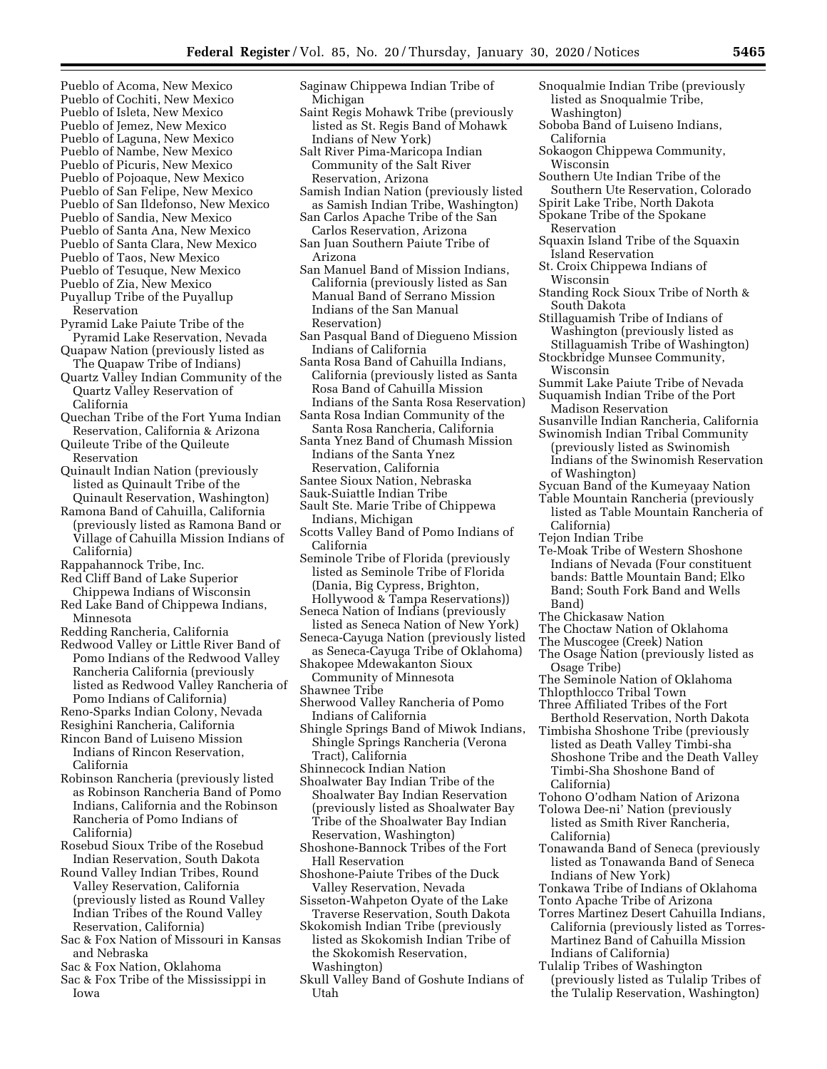- Pueblo of Acoma, New Mexico Pueblo of Cochiti, New Mexico
- Pueblo of Isleta, New Mexico
- Pueblo of Jemez, New Mexico
- Pueblo of Laguna, New Mexico Pueblo of Nambe, New Mexico
- Pueblo of Picuris, New Mexico
- Pueblo of Pojoaque, New Mexico
- Pueblo of San Felipe, New Mexico
- Pueblo of San Ildefonso, New Mexico Pueblo of Sandia, New Mexico
- Pueblo of Santa Ana, New Mexico
- Pueblo of Santa Clara, New Mexico
- Pueblo of Taos, New Mexico
- Pueblo of Tesuque, New Mexico
- Pueblo of Zia, New Mexico
- Puyallup Tribe of the Puyallup Reservation
- Pyramid Lake Paiute Tribe of the Pyramid Lake Reservation, Nevada
- Quapaw Nation (previously listed as The Quapaw Tribe of Indians)
- Quartz Valley Indian Community of the Quartz Valley Reservation of California
- Quechan Tribe of the Fort Yuma Indian Reservation, California & Arizona
- Quileute Tribe of the Quileute Reservation
- Quinault Indian Nation (previously listed as Quinault Tribe of the Quinault Reservation, Washington)
- Ramona Band of Cahuilla, California (previously listed as Ramona Band or Village of Cahuilla Mission Indians of
- California)
- Rappahannock Tribe, Inc. Red Cliff Band of Lake Superior
- Chippewa Indians of Wisconsin Red Lake Band of Chippewa Indians, Minnesota
- 
- Redding Rancheria, California
- Redwood Valley or Little River Band of Pomo Indians of the Redwood Valley Rancheria California (previously listed as Redwood Valley Rancheria of Pomo Indians of California)
- Reno-Sparks Indian Colony, Nevada
- Resighini Rancheria, California
- Rincon Band of Luiseno Mission Indians of Rincon Reservation, California
- Robinson Rancheria (previously listed as Robinson Rancheria Band of Pomo Indians, California and the Robinson Rancheria of Pomo Indians of California)
- Rosebud Sioux Tribe of the Rosebud Indian Reservation, South Dakota
- Round Valley Indian Tribes, Round Valley Reservation, California (previously listed as Round Valley Indian Tribes of the Round Valley Reservation, California)
- Sac & Fox Nation of Missouri in Kansas and Nebraska
- Sac & Fox Nation, Oklahoma
- Sac & Fox Tribe of the Mississippi in Iowa
- Saginaw Chippewa Indian Tribe of Michigan
- Saint Regis Mohawk Tribe (previously listed as St. Regis Band of Mohawk Indians of New York)
- Salt River Pima-Maricopa Indian Community of the Salt River Reservation, Arizona
- Samish Indian Nation (previously listed as Samish Indian Tribe, Washington) San Carlos Apache Tribe of the San
- Carlos Reservation, Arizona San Juan Southern Paiute Tribe of
- Arizona San Manuel Band of Mission Indians,
- California (previously listed as San Manual Band of Serrano Mission Indians of the San Manual Reservation)
- San Pasqual Band of Diegueno Mission Indians of California
- Santa Rosa Band of Cahuilla Indians, California (previously listed as Santa Rosa Band of Cahuilla Mission Indians of the Santa Rosa Reservation)
- Santa Rosa Indian Community of the
- Santa Rosa Rancheria, California Santa Ynez Band of Chumash Mission Indians of the Santa Ynez
- Reservation, California
- Santee Sioux Nation, Nebraska
- Sauk-Suiattle Indian Tribe
- Sault Ste. Marie Tribe of Chippewa Indians, Michigan
- Scotts Valley Band of Pomo Indians of California
- Seminole Tribe of Florida (previously listed as Seminole Tribe of Florida (Dania, Big Cypress, Brighton, Hollywood & Tampa Reservations))
- Seneca Nation of Indians (previously listed as Seneca Nation of New York)
- Seneca-Cayuga Nation (previously listed as Seneca-Cayuga Tribe of Oklahoma)
- Shakopee Mdewakanton Sioux Community of Minnesota
- Shawnee Tribe
- Sherwood Valley Rancheria of Pomo Indians of California
- Shingle Springs Band of Miwok Indians, Shingle Springs Rancheria (Verona Tract), California
- Shinnecock Indian Nation
- Shoalwater Bay Indian Tribe of the Shoalwater Bay Indian Reservation (previously listed as Shoalwater Bay Tribe of the Shoalwater Bay Indian Reservation, Washington)
- Shoshone-Bannock Tribes of the Fort Hall Reservation
- Shoshone-Paiute Tribes of the Duck Valley Reservation, Nevada
- Sisseton-Wahpeton Oyate of the Lake Traverse Reservation, South Dakota
- Skokomish Indian Tribe (previously listed as Skokomish Indian Tribe of the Skokomish Reservation, Washington)
- Skull Valley Band of Goshute Indians of Utah
- Snoqualmie Indian Tribe (previously listed as Snoqualmie Tribe,
- Washington)
- Soboba Band of Luiseno Indians, California
- Sokaogon Chippewa Community, Wisconsin
- Southern Ute Indian Tribe of the
- Southern Ute Reservation, Colorado
- Spirit Lake Tribe, North Dakota
- Spokane Tribe of the Spokane
	- Reservation
- Squaxin Island Tribe of the Squaxin Island Reservation
- St. Croix Chippewa Indians of Wisconsin
- Standing Rock Sioux Tribe of North & South Dakota
- Stillaguamish Tribe of Indians of Washington (previously listed as
- Stillaguamish Tribe of Washington) Stockbridge Munsee Community,
- Wisconsin
- Summit Lake Paiute Tribe of Nevada Suquamish Indian Tribe of the Port
- Madison Reservation
- Susanville Indian Rancheria, California Swinomish Indian Tribal Community
- (previously listed as Swinomish Indians of the Swinomish Reservation of Washington)
- Sycuan Band of the Kumeyaay Nation
- Table Mountain Rancheria (previously listed as Table Mountain Rancheria of California)
- Tejon Indian Tribe
- Te-Moak Tribe of Western Shoshone Indians of Nevada (Four constituent bands: Battle Mountain Band; Elko Band; South Fork Band and Wells Band)
- The Chickasaw Nation
- The Choctaw Nation of Oklahoma
- The Muscogee (Creek) Nation
- The Osage Nation (previously listed as Osage Tribe)
- The Seminole Nation of Oklahoma
- Thlopthlocco Tribal Town
- Three Affiliated Tribes of the Fort
- Berthold Reservation, North Dakota Timbisha Shoshone Tribe (previously listed as Death Valley Timbi-sha Shoshone Tribe and the Death Valley Timbi-Sha Shoshone Band of
- California) Tohono O'odham Nation of Arizona
- Tolowa Dee-ni' Nation (previously listed as Smith River Rancheria, California)

Indians of New York)

Indians of California) Tulalip Tribes of Washington

Tonawanda Band of Seneca (previously listed as Tonawanda Band of Seneca

Tonkawa Tribe of Indians of Oklahoma Tonto Apache Tribe of Arizona

Torres Martinez Desert Cahuilla Indians, California (previously listed as Torres-Martinez Band of Cahuilla Mission

(previously listed as Tulalip Tribes of the Tulalip Reservation, Washington)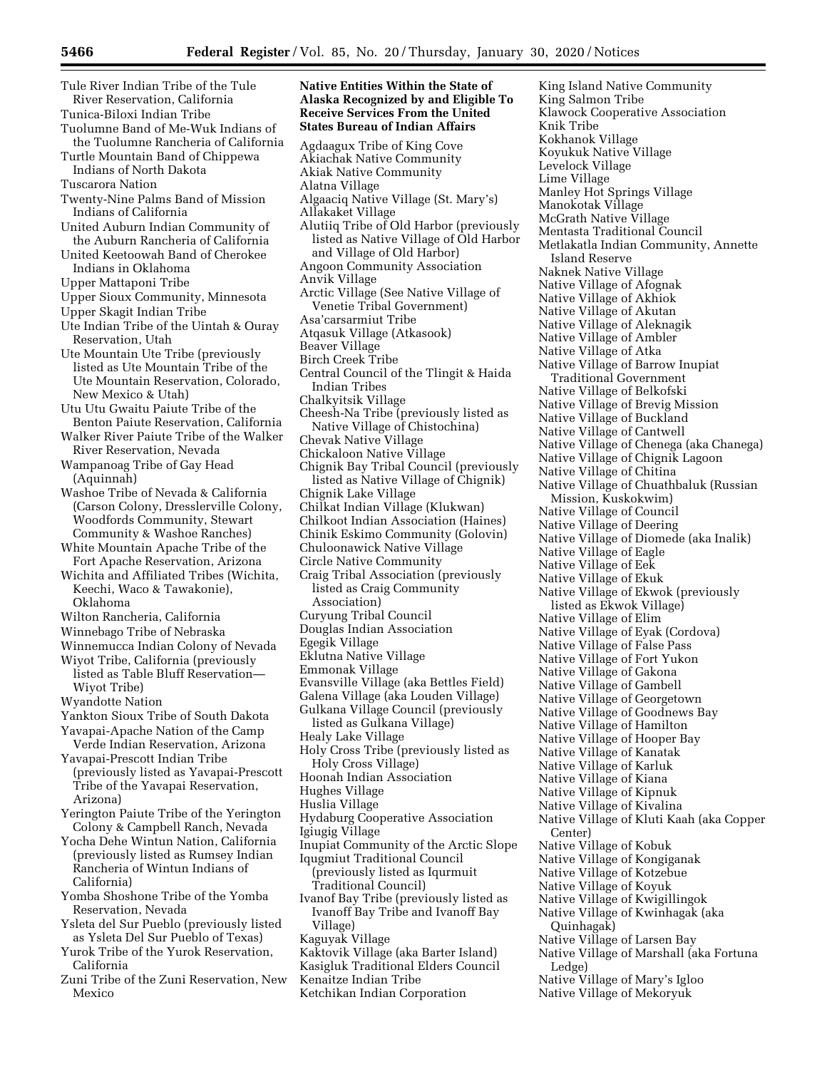**Native Entities Within the State of Alaska Recognized by and Eligible To** 

Tule River Indian Tribe of the Tule River Reservation, California

Tunica-Biloxi Indian Tribe

- Tuolumne Band of Me-Wuk Indians of the Tuolumne Rancheria of California
- Turtle Mountain Band of Chippewa Indians of North Dakota

Tuscarora Nation

- Twenty-Nine Palms Band of Mission Indians of California
- United Auburn Indian Community of the Auburn Rancheria of California
- United Keetoowah Band of Cherokee Indians in Oklahoma
- Upper Mattaponi Tribe
- Upper Sioux Community, Minnesota
- Upper Skagit Indian Tribe
- Ute Indian Tribe of the Uintah & Ouray Reservation, Utah
- Ute Mountain Ute Tribe (previously listed as Ute Mountain Tribe of the Ute Mountain Reservation, Colorado, New Mexico & Utah)

Utu Utu Gwaitu Paiute Tribe of the Benton Paiute Reservation, California

- Walker River Paiute Tribe of the Walker River Reservation, Nevada
- Wampanoag Tribe of Gay Head (Aquinnah)
- Washoe Tribe of Nevada & California (Carson Colony, Dresslerville Colony, Woodfords Community, Stewart Community & Washoe Ranches)

White Mountain Apache Tribe of the Fort Apache Reservation, Arizona

- Wichita and Affiliated Tribes (Wichita, Keechi, Waco & Tawakonie), Oklahoma
- Wilton Rancheria, California
- Winnebago Tribe of Nebraska
- Winnemucca Indian Colony of Nevada Wiyot Tribe, California (previously
- listed as Table Bluff Reservation— Wiyot Tribe)
- Wyandotte Nation

Yankton Sioux Tribe of South Dakota

Yavapai-Apache Nation of the Camp Verde Indian Reservation, Arizona

Yavapai-Prescott Indian Tribe (previously listed as Yavapai-Prescott Tribe of the Yavapai Reservation, Arizona)

- Yerington Paiute Tribe of the Yerington Colony & Campbell Ranch, Nevada
- Yocha Dehe Wintun Nation, California (previously listed as Rumsey Indian Rancheria of Wintun Indians of California)
- Yomba Shoshone Tribe of the Yomba Reservation, Nevada
- Ysleta del Sur Pueblo (previously listed as Ysleta Del Sur Pueblo of Texas)
- Yurok Tribe of the Yurok Reservation, California
- Zuni Tribe of the Zuni Reservation, New Mexico

**Receive Services From the United States Bureau of Indian Affairs**  Agdaagux Tribe of King Cove Akiachak Native Community Akiak Native Community Alatna Village Algaaciq Native Village (St. Mary's) Allakaket Village Alutiiq Tribe of Old Harbor (previously listed as Native Village of Old Harbor and Village of Old Harbor) Angoon Community Association Anvik Village Arctic Village (See Native Village of Venetie Tribal Government) Asa'carsarmiut Tribe Atqasuk Village (Atkasook) Beaver Village Birch Creek Tribe Central Council of the Tlingit & Haida Indian Tribes Chalkyitsik Village Cheesh-Na Tribe (previously listed as Native Village of Chistochina) Chevak Native Village Chickaloon Native Village Chignik Bay Tribal Council (previously listed as Native Village of Chignik) Chignik Lake Village Chilkat Indian Village (Klukwan) Chilkoot Indian Association (Haines) Chinik Eskimo Community (Golovin) Chuloonawick Native Village Circle Native Community Craig Tribal Association (previously listed as Craig Community Association) Curyung Tribal Council Douglas Indian Association Egegik Village Eklutna Native Village Emmonak Village Evansville Village (aka Bettles Field) Galena Village (aka Louden Village) Gulkana Village Council (previously listed as Gulkana Village) Healy Lake Village Holy Cross Tribe (previously listed as Holy Cross Village) Hoonah Indian Association Hughes Village Huslia Village Hydaburg Cooperative Association Igiugig Village Inupiat Community of the Arctic Slope Iqugmiut Traditional Council (previously listed as Iqurmuit Traditional Council) Ivanof Bay Tribe (previously listed as Ivanoff Bay Tribe and Ivanoff Bay Village) Kaguyak Village Kaktovik Village (aka Barter Island) Kasigluk Traditional Elders Council Kenaitze Indian Tribe

King Island Native Community King Salmon Tribe Klawock Cooperative Association Knik Tribe Kokhanok Village Koyukuk Native Village Levelock Village Lime Village Manley Hot Springs Village Manokotak Village McGrath Native Village Mentasta Traditional Council Metlakatla Indian Community, Annette Island Reserve Naknek Native Village Native Village of Afognak Native Village of Akhiok Native Village of Akutan Native Village of Aleknagik Native Village of Ambler Native Village of Atka Native Village of Barrow Inupiat Traditional Government Native Village of Belkofski Native Village of Brevig Mission Native Village of Buckland Native Village of Cantwell Native Village of Chenega (aka Chanega) Native Village of Chignik Lagoon Native Village of Chitina Native Village of Chuathbaluk (Russian Mission, Kuskokwim) Native Village of Council Native Village of Deering Native Village of Diomede (aka Inalik) Native Village of Eagle Native Village of Eek Native Village of Ekuk Native Village of Ekwok (previously listed as Ekwok Village) Native Village of Elim Native Village of Eyak (Cordova) Native Village of False Pass Native Village of Fort Yukon Native Village of Gakona Native Village of Gambell Native Village of Georgetown Native Village of Goodnews Bay Native Village of Hamilton Native Village of Hooper Bay Native Village of Kanatak Native Village of Karluk Native Village of Kiana Native Village of Kipnuk Native Village of Kivalina Native Village of Kluti Kaah (aka Copper Center) Native Village of Kobuk Native Village of Kongiganak Native Village of Kotzebue Native Village of Koyuk Native Village of Kwigillingok Native Village of Kwinhagak (aka Quinhagak) Native Village of Larsen Bay Native Village of Marshall (aka Fortuna Ledge) Native Village of Mary's Igloo Native Village of Mekoryuk

Ketchikan Indian Corporation